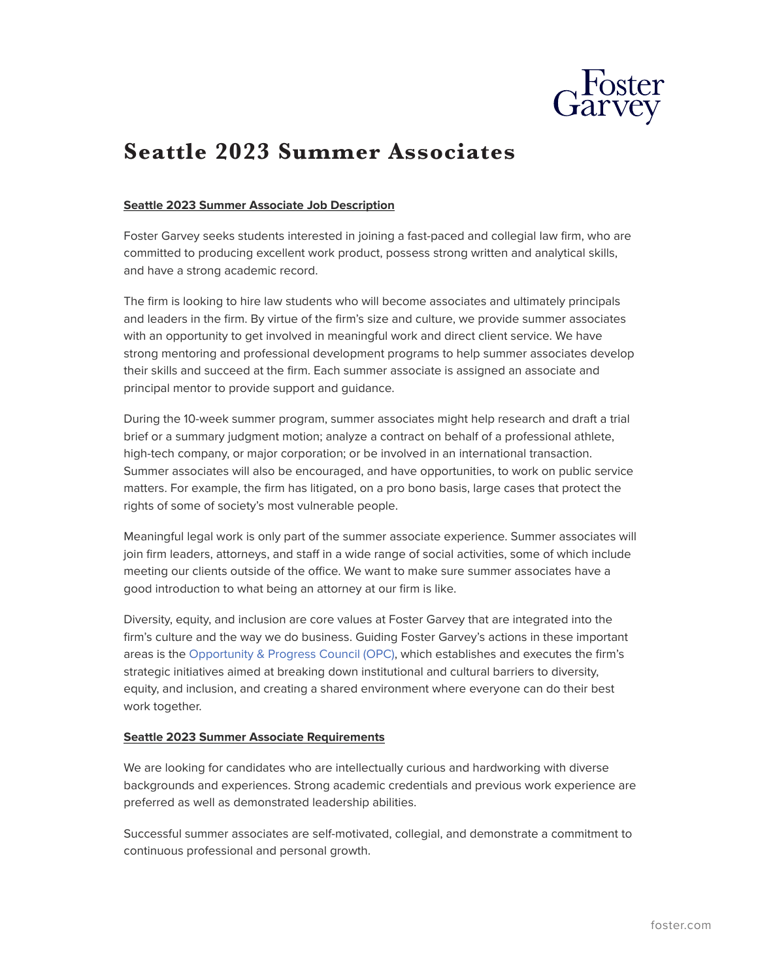

## **Seattle 2023 Summer Associates**

## **Seattle 2023 Summer Associate Job Description**

Foster Garvey seeks students interested in joining a fast-paced and collegial law firm, who are committed to producing excellent work product, possess strong written and analytical skills, and have a strong academic record.

The firm is looking to hire law students who will become associates and ultimately principals and leaders in the firm. By virtue of the firm's size and culture, we provide summer associates with an opportunity to get involved in meaningful work and direct client service. We have strong mentoring and professional development programs to help summer associates develop their skills and succeed at the firm. Each summer associate is assigned an associate and principal mentor to provide support and guidance.

During the 10-week summer program, summer associates might help research and draft a trial brief or a summary judgment motion; analyze a contract on behalf of a professional athlete, high-tech company, or major corporation; or be involved in an international transaction. Summer associates will also be encouraged, and have opportunities, to work on public service matters. For example, the firm has litigated, on a pro bono basis, large cases that protect the rights of some of society's most vulnerable people.

Meaningful legal work is only part of the summer associate experience. Summer associates will join firm leaders, attorneys, and staff in a wide range of social activities, some of which include meeting our clients outside of the office. We want to make sure summer associates have a good introduction to what being an attorney at our firm is like.

Diversity, equity, and inclusion are core values at Foster Garvey that are integrated into the firm's culture and the way we do business. Guiding Foster Garvey's actions in these important areas is the [Opportunity & Progress Council \(OPC\),](https://www.foster.com/ourfirm-diversity-opportunity) which establishes and executes the firm's strategic initiatives aimed at breaking down institutional and cultural barriers to diversity, equity, and inclusion, and creating a shared environment where everyone can do their best work together.

## **Seattle 2023 Summer Associate Requirements**

We are looking for candidates who are intellectually curious and hardworking with diverse backgrounds and experiences. Strong academic credentials and previous work experience are preferred as well as demonstrated leadership abilities.

Successful summer associates are self-motivated, collegial, and demonstrate a commitment to continuous professional and personal growth.